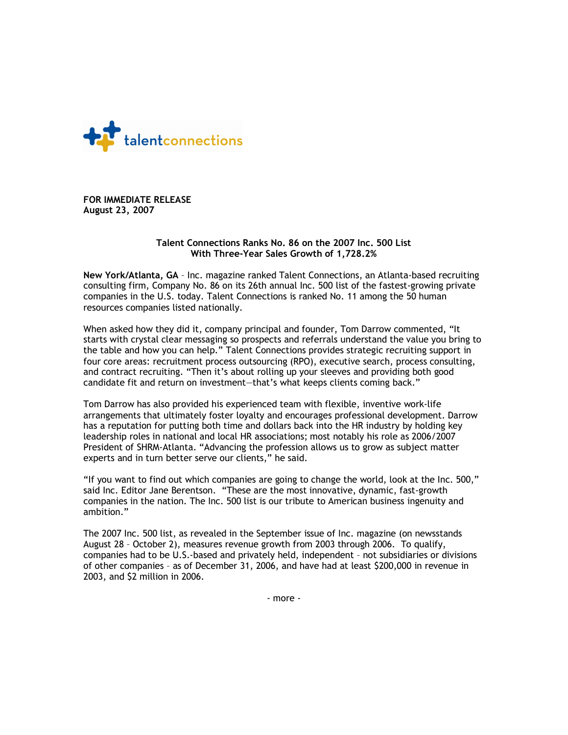

**FOR IMMEDIATE RELEASE August 23, 2007**

## **Talent Connections Ranks No. 86 on the 2007 Inc. 500 List With Three‐Year Sales Growth of 1,728.2%**

**New York/Atlanta, GA** – Inc. magazine ranked Talent Connections, an Atlanta‐based recruiting consulting firm, Company No. 86 on its 26th annual Inc. 500 list of the fastest‐growing private companies in the U.S. today. Talent Connections is ranked No. 11 among the 50 human resources companies listed nationally.

When asked how they did it, company principal and founder, Tom Darrow commented, "It starts with crystal clear messaging so prospects and referrals understand the value you bring to the table and how you can help." Talent Connections provides strategic recruiting support in four core areas: recruitment process outsourcing (RPO), executive search, process consulting, and contract recruiting. "Then it's about rolling up your sleeves and providing both good candidate fit and return on investment—that's what keeps clients coming back."

Tom Darrow has also provided his experienced team with flexible, inventive work‐life arrangements that ultimately foster loyalty and encourages professional development. Darrow has a reputation for putting both time and dollars back into the HR industry by holding key leadership roles in national and local HR associations; most notably his role as 2006/2007 President of SHRM‐Atlanta. "Advancing the profession allows us to grow as subject matter experts and in turn better serve our clients," he said.

"If you want to find out which companies are going to change the world, look at the Inc. 500," said Inc. Editor Jane Berentson. "These are the most innovative, dynamic, fast‐growth companies in the nation. The Inc. 500 list is our tribute to American business ingenuity and ambition."

The 2007 Inc. 500 list, as revealed in the September issue of Inc. magazine (on newsstands August 28 – October 2), measures revenue growth from 2003 through 2006. To qualify, companies had to be U.S.‐based and privately held, independent – not subsidiaries or divisions of other companies – as of December 31, 2006, and have had at least \$200,000 in revenue in 2003, and \$2 million in 2006.

‐ more ‐